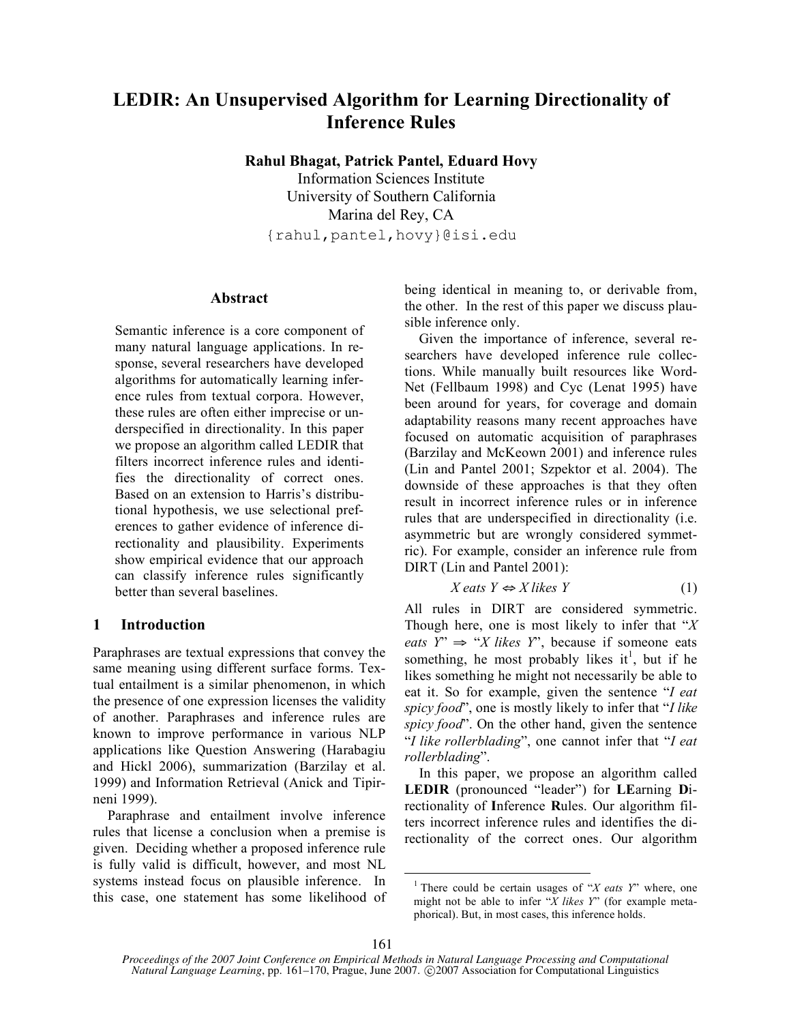# **LEDIR: An Unsupervised Algorithm for Learning Directionality of Inference Rules**

**Rahul Bhagat, Patrick Pantel, Eduard Hovy**

Information Sciences Institute University of Southern California Marina del Rey, CA {rahul,pantel,hovy}@isi.edu

## **Abstract**

Semantic inference is a core component of many natural language applications. In response, several researchers have developed algorithms for automatically learning inference rules from textual corpora. However, these rules are often either imprecise or underspecified in directionality. In this paper we propose an algorithm called LEDIR that filters incorrect inference rules and identifies the directionality of correct ones. Based on an extension to Harris's distributional hypothesis, we use selectional preferences to gather evidence of inference directionality and plausibility. Experiments show empirical evidence that our approach can classify inference rules significantly better than several baselines.

## **1 Introduction**

Paraphrases are textual expressions that convey the same meaning using different surface forms. Textual entailment is a similar phenomenon, in which the presence of one expression licenses the validity of another. Paraphrases and inference rules are known to improve performance in various NLP applications like Question Answering (Harabagiu and Hickl 2006), summarization (Barzilay et al. 1999) and Information Retrieval (Anick and Tipirneni 1999).

Paraphrase and entailment involve inference rules that license a conclusion when a premise is given. Deciding whether a proposed inference rule is fully valid is difficult, however, and most NL systems instead focus on plausible inference. In this case, one statement has some likelihood of being identical in meaning to, or derivable from, the other. In the rest of this paper we discuss plausible inference only.

Given the importance of inference, several researchers have developed inference rule collections. While manually built resources like Word-Net (Fellbaum 1998) and Cyc (Lenat 1995) have been around for years, for coverage and domain adaptability reasons many recent approaches have focused on automatic acquisition of paraphrases (Barzilay and McKeown 2001) and inference rules (Lin and Pantel 2001; Szpektor et al. 2004). The downside of these approaches is that they often result in incorrect inference rules or in inference rules that are underspecified in directionality (i.e. asymmetric but are wrongly considered symmetric). For example, consider an inference rule from DIRT (Lin and Pantel 2001):

$$
X \text{ eats } Y \Leftrightarrow X \text{ likes } Y \tag{1}
$$

All rules in DIRT are considered symmetric. Though here, one is most likely to infer that "*X eats*  $Y'' \Rightarrow "X$  *likes*  $Y''$ , because if someone eats something, he most probably likes it<sup>1</sup>, but if he likes something he might not necessarily be able to eat it. So for example, given the sentence "*I eat spicy food*", one is mostly likely to infer that "*I like spicy food*". On the other hand, given the sentence "*I like rollerblading*", one cannot infer that "*I eat rollerblading*".

In this paper, we propose an algorithm called **LEDIR** (pronounced "leader") for **LE**arning **D**irectionality of **I**nference **R**ules. Our algorithm filters incorrect inference rules and identifies the directionality of the correct ones. Our algorithm

<sup>1</sup> There could be certain usages of "*X eats Y*" where, one might not be able to infer "*X likes Y*" (for example metaphorical). But, in most cases, this inference holds.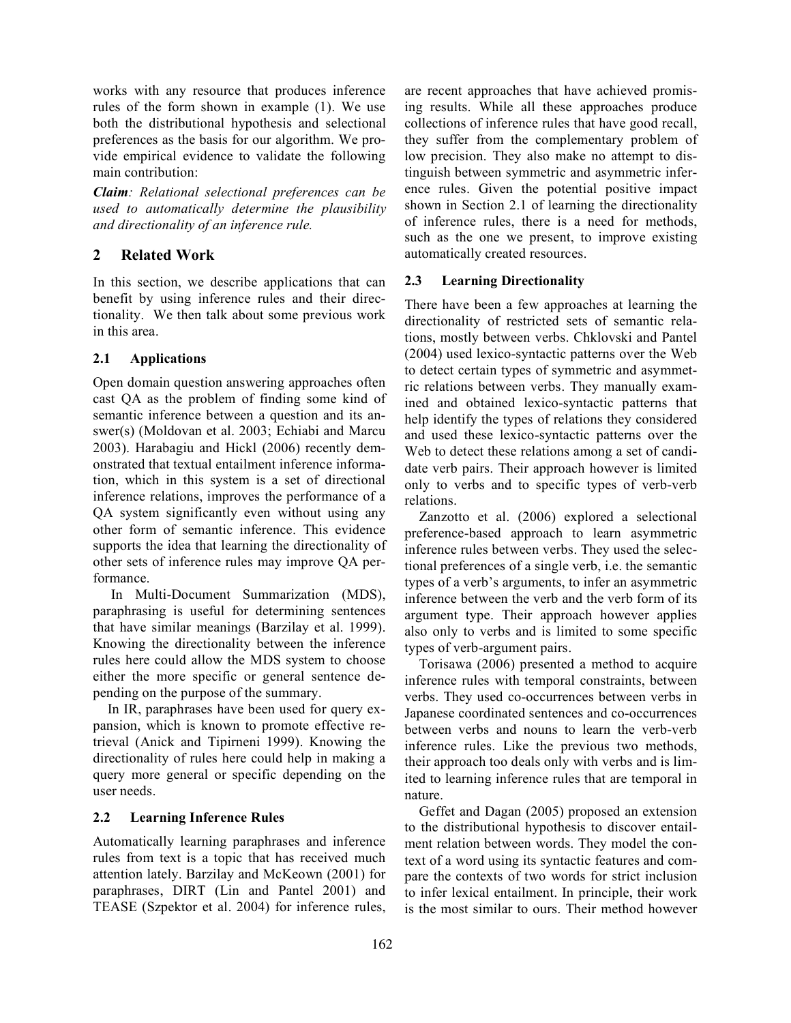works with any resource that produces inference rules of the form shown in example (1). We use both the distributional hypothesis and selectional preferences as the basis for our algorithm. We provide empirical evidence to validate the following main contribution:

*Claim: Relational selectional preferences can be used to automatically determine the plausibility and directionality of an inference rule.*

## **2 Related Work**

In this section, we describe applications that can benefit by using inference rules and their directionality. We then talk about some previous work in this area.

## **2.1 Applications**

Open domain question answering approaches often cast QA as the problem of finding some kind of semantic inference between a question and its answer(s) (Moldovan et al. 2003; Echiabi and Marcu 2003). Harabagiu and Hickl (2006) recently demonstrated that textual entailment inference information, which in this system is a set of directional inference relations, improves the performance of a QA system significantly even without using any other form of semantic inference. This evidence supports the idea that learning the directionality of other sets of inference rules may improve QA performance.

In Multi-Document Summarization (MDS), paraphrasing is useful for determining sentences that have similar meanings (Barzilay et al. 1999). Knowing the directionality between the inference rules here could allow the MDS system to choose either the more specific or general sentence depending on the purpose of the summary.

In IR, paraphrases have been used for query expansion, which is known to promote effective retrieval (Anick and Tipirneni 1999). Knowing the directionality of rules here could help in making a query more general or specific depending on the user needs.

## **2.2 Learning Inference Rules**

Automatically learning paraphrases and inference rules from text is a topic that has received much attention lately. Barzilay and McKeown (2001) for paraphrases, DIRT (Lin and Pantel 2001) and TEASE (Szpektor et al. 2004) for inference rules,

are recent approaches that have achieved promising results. While all these approaches produce collections of inference rules that have good recall, they suffer from the complementary problem of low precision. They also make no attempt to distinguish between symmetric and asymmetric inference rules. Given the potential positive impact shown in Section 2.1 of learning the directionality of inference rules, there is a need for methods, such as the one we present, to improve existing automatically created resources.

## **2.3 Learning Directionality**

There have been a few approaches at learning the directionality of restricted sets of semantic relations, mostly between verbs. Chklovski and Pantel (2004) used lexico-syntactic patterns over the Web to detect certain types of symmetric and asymmetric relations between verbs. They manually examined and obtained lexico-syntactic patterns that help identify the types of relations they considered and used these lexico-syntactic patterns over the Web to detect these relations among a set of candidate verb pairs. Their approach however is limited only to verbs and to specific types of verb-verb relations.

Zanzotto et al. (2006) explored a selectional preference-based approach to learn asymmetric inference rules between verbs. They used the selectional preferences of a single verb, i.e. the semantic types of a verb's arguments, to infer an asymmetric inference between the verb and the verb form of its argument type. Their approach however applies also only to verbs and is limited to some specific types of verb-argument pairs.

Torisawa (2006) presented a method to acquire inference rules with temporal constraints, between verbs. They used co-occurrences between verbs in Japanese coordinated sentences and co-occurrences between verbs and nouns to learn the verb-verb inference rules. Like the previous two methods, their approach too deals only with verbs and is limited to learning inference rules that are temporal in nature.

Geffet and Dagan (2005) proposed an extension to the distributional hypothesis to discover entailment relation between words. They model the context of a word using its syntactic features and compare the contexts of two words for strict inclusion to infer lexical entailment. In principle, their work is the most similar to ours. Their method however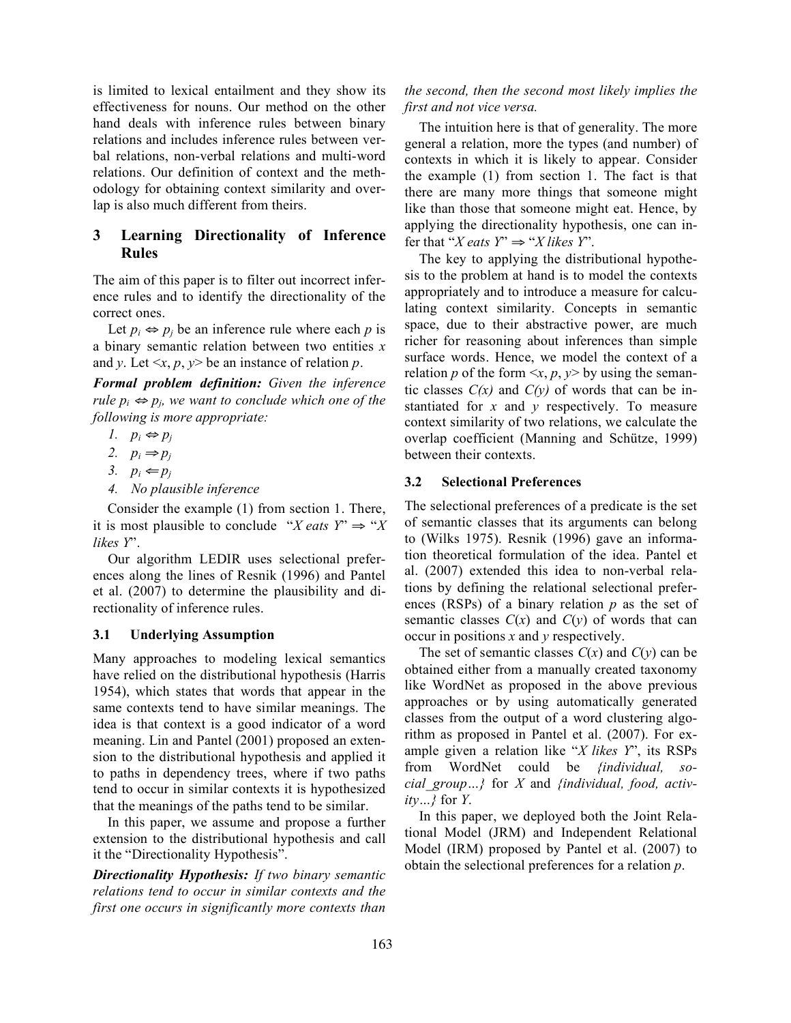is limited to lexical entailment and they show its effectiveness for nouns. Our method on the other hand deals with inference rules between binary relations and includes inference rules between verbal relations, non-verbal relations and multi-word relations. Our definition of context and the methodology for obtaining context similarity and overlap is also much different from theirs.

## **3 Learning Directionality of Inference Rules**

The aim of this paper is to filter out incorrect inference rules and to identify the directionality of the correct ones.

Let  $p_i \Leftrightarrow p_j$  be an inference rule where each *p* is a binary semantic relation between two entities *x* and *y*. Let  $\leq x, p, y$  be an instance of relation *p*.

*Formal problem definition: Given the inference rule*  $p_i \Leftrightarrow p_j$ , we want to conclude which one of the *following is more appropriate:*

- *1.*  $p_i$  ⇔  $p_j$
- 2.  $p_i \Rightarrow p_j$
- 3.  $p_i \leftarrow p_j$
- *4. No plausible inference*

Consider the example (1) from section 1. There, it is most plausible to conclude "*X* eats  $Y \Rightarrow "X$ *likes Y*".

Our algorithm LEDIR uses selectional preferences along the lines of Resnik (1996) and Pantel et al. (2007) to determine the plausibility and directionality of inference rules.

### **3.1 Underlying Assumption**

Many approaches to modeling lexical semantics have relied on the distributional hypothesis (Harris 1954), which states that words that appear in the same contexts tend to have similar meanings. The idea is that context is a good indicator of a word meaning. Lin and Pantel (2001) proposed an extension to the distributional hypothesis and applied it to paths in dependency trees, where if two paths tend to occur in similar contexts it is hypothesized that the meanings of the paths tend to be similar.

In this paper, we assume and propose a further extension to the distributional hypothesis and call it the "Directionality Hypothesis".

*Directionality Hypothesis: If two binary semantic relations tend to occur in similar contexts and the first one occurs in significantly more contexts than*

## *the second, then the second most likely implies the first and not vice versa.*

The intuition here is that of generality. The more general a relation, more the types (and number) of contexts in which it is likely to appear. Consider the example (1) from section 1. The fact is that there are many more things that someone might like than those that someone might eat. Hence, by applying the directionality hypothesis, one can infer that "*X* eats  $Y$ "  $\Rightarrow$  "*X* likes  $Y$ ".

The key to applying the distributional hypothesis to the problem at hand is to model the contexts appropriately and to introduce a measure for calculating context similarity. Concepts in semantic space, due to their abstractive power, are much richer for reasoning about inferences than simple surface words. Hence, we model the context of a relation *p* of the form  $\langle x, p, y \rangle$  by using the semantic classes  $C(x)$  and  $C(y)$  of words that can be instantiated for *x* and *y* respectively. To measure context similarity of two relations, we calculate the overlap coefficient (Manning and Schütze, 1999) between their contexts.

### **3.2 Selectional Preferences**

The selectional preferences of a predicate is the set of semantic classes that its arguments can belong to (Wilks 1975). Resnik (1996) gave an information theoretical formulation of the idea. Pantel et al. (2007) extended this idea to non-verbal relations by defining the relational selectional preferences (RSPs) of a binary relation *p* as the set of semantic classes  $C(x)$  and  $C(y)$  of words that can occur in positions *x* and *y* respectively.

The set of semantic classes  $C(x)$  and  $C(y)$  can be obtained either from a manually created taxonomy like WordNet as proposed in the above previous approaches or by using automatically generated classes from the output of a word clustering algorithm as proposed in Pantel et al. (2007). For example given a relation like "*X likes Y*", its RSPs from WordNet could be *{individual, social\_group…}* for *X* and *{individual, food, activity…}* for *Y*.

In this paper, we deployed both the Joint Relational Model (JRM) and Independent Relational Model (IRM) proposed by Pantel et al. (2007) to obtain the selectional preferences for a relation *p*.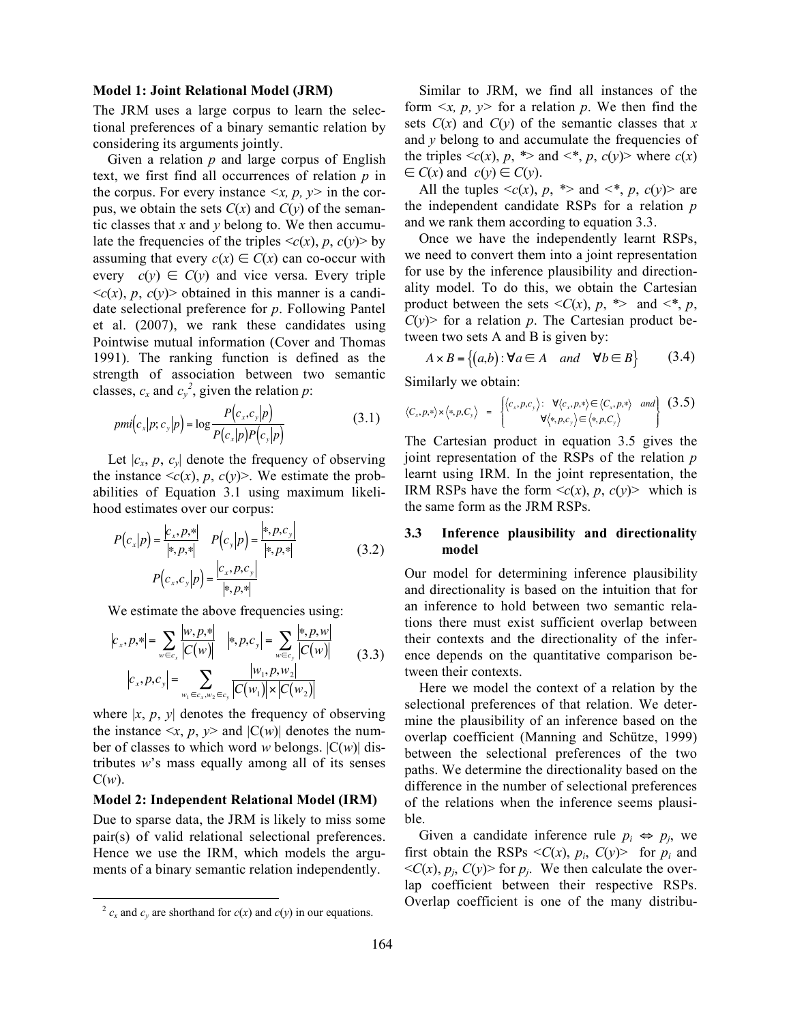#### **Model 1: Joint Relational Model (JRM)**

The JRM uses a large corpus to learn the selectional preferences of a binary semantic relation by considering its arguments jointly.

Given a relation *p* and large corpus of English text, we first find all occurrences of relation *p* in the corpus. For every instance  $\langle x, p, y \rangle$  in the corpus, we obtain the sets  $C(x)$  and  $C(y)$  of the semantic classes that *x* and *y* belong to. We then accumulate the frequencies of the triples  $\langle c(x), p, c(y) \rangle$  by assuming that every  $c(x) \in C(x)$  can co-occur with every  $c(y) \in C(y)$  and vice versa. Every triple  $\langle c(x), p, c(y) \rangle$  obtained in this manner is a candidate selectional preference for *p*. Following Pantel et al. (2007), we rank these candidates using Pointwise mutual information (Cover and Thomas 1991). The ranking function is defined as the strength of association between two semantic classes,  $c_x$  and  $c_y^2$ , given the relation *p*:

$$
pmi(c_x|p;c_y|p) = \log \frac{P(c_x,c_y|p)}{P(c_x|p)P(c_y|p)}
$$
(3.1)

Let  $|c_x, p, c_y|$  denote the frequency of observing the instance  $\langle c(x), p, c(y) \rangle$ . We estimate the probabilities of Equation 3.1 using maximum likelihood estimates over our corpus:

$$
P(c_x|p) = \frac{|c_x, p, *|}{|*, p, *|} \quad P(c_y|p) = \frac{|*, p, c_y|}{|*, p, *|} \quad (3.2)
$$
\n
$$
P(c_x, c_y|p) = \frac{|c_x, p, c_y|}{|*, p, *|} \quad (3.2)
$$

We estimate the above frequencies using:

$$
|c_x, p, *| = \sum_{w \in c_x} \frac{|w, p, *|}{|C(w)|} \quad |*, p, c_y| = \sum_{w \in c_y} \frac{|*, p, w|}{|C(w)|}
$$
  

$$
|c_x, p, c_y| = \sum_{w_1 \in c_x, w_2 \in c_y} \frac{|w_1, p, w_2|}{|C(w_1)| \times |C(w_2)|}
$$
 (3.3)

where  $|x, p, y|$  denotes the frequency of observing the instance  $\langle x, p, y \rangle$  and  $|C(w)|$  denotes the number of classes to which word *w* belongs. |C(*w*)| distributes *w*'s mass equally among all of its senses  $C(w)$ .

#### **Model 2: Independent Relational Model (IRM)**

Due to sparse data, the JRM is likely to miss some pair(s) of valid relational selectional preferences. Hence we use the IRM, which models the arguments of a binary semantic relation independently.

Similar to JRM, we find all instances of the form  $\langle x, p, y \rangle$  for a relation p. We then find the sets  $C(x)$  and  $C(y)$  of the semantic classes that x and *y* belong to and accumulate the frequencies of the triples  $\langle c(x), p, * \rangle$  and  $\langle e^*, p, c(y) \rangle$  where  $c(x)$  $\in$  *C*(*x*) and *c*(*y*)  $\in$  *C*(*y*).

All the tuples  $\langle c(x), p, * \rangle$  and  $\langle * , p, c(y) \rangle$  are the independent candidate RSPs for a relation *p* and we rank them according to equation 3.3.

Once we have the independently learnt RSPs, we need to convert them into a joint representation for use by the inference plausibility and directionality model. To do this, we obtain the Cartesian product between the sets  $\langle C(x), p, * \rangle$  and  $\langle *, p, * \rangle$  $C(y)$  for a relation *p*. The Cartesian product between two sets A and B is given by:

$$
A \times B = \{(a, b) : \forall a \in A \quad and \quad \forall b \in B\}
$$
 (3.4)

Similarly we obtain:

$$
\langle C_x, p, \ast \rangle \times \langle \ast, p, C_{\mathbf{y}} \rangle = \begin{cases} \langle c_x, p, c_y \rangle : & \forall \langle c_x, p, \ast \rangle \in \langle C_x, p, \ast \rangle \text{ and } \\ & \forall \langle \ast, p, c_y \rangle \in \langle \ast, p, C_{\mathbf{y}} \rangle \end{cases} (3.5)
$$

The Cartesian product in equation 3.5 gives the joint representation of the RSPs of the relation *p* learnt using IRM. In the joint representation, the IRM RSPs have the form  $\langle c(x), p, c(y) \rangle$  which is the same form as the JRM RSPs.

### **3.3 Inference plausibility and directionality model**

Our model for determining inference plausibility and directionality is based on the intuition that for an inference to hold between two semantic relations there must exist sufficient overlap between their contexts and the directionality of the inference depends on the quantitative comparison between their contexts.

Here we model the context of a relation by the selectional preferences of that relation. We determine the plausibility of an inference based on the overlap coefficient (Manning and Schütze, 1999) between the selectional preferences of the two paths. We determine the directionality based on the difference in the number of selectional preferences of the relations when the inference seems plausible.

Given a candidate inference rule  $p_i \Leftrightarrow p_j$ , we first obtain the RSPs  $\langle C(x), p_i, C(y) \rangle$  for  $p_i$  and  $\langle C(x), p_i, C(y) \rangle$  for  $p_i$ . We then calculate the overlap coefficient between their respective RSPs. Overlap coefficient is one of the many distribu-

 $^{2}$  *c<sub>x</sub>* and *c<sub>y</sub>* are shorthand for *c*(*x*) and *c*(*y*) in our equations.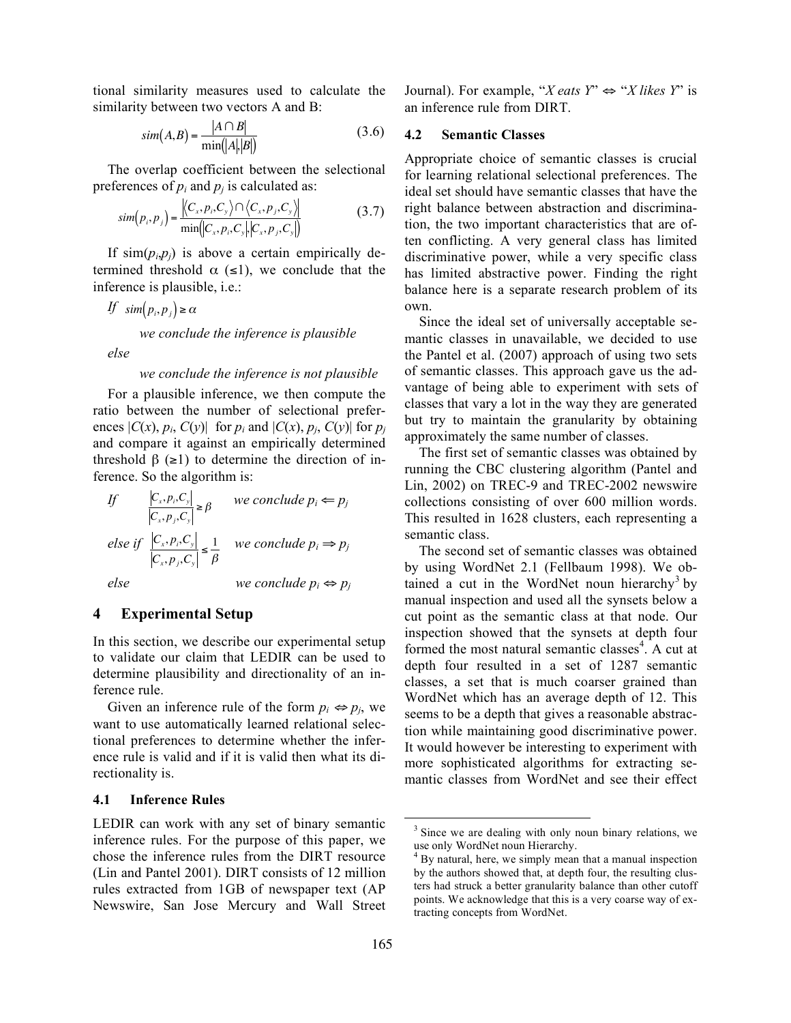tional similarity measures used to calculate the similarity between two vectors A and B:

$$
sim(A,B) = \frac{|A \cap B|}{\min(|A|,|B|)}
$$
(3.6)

The overlap coefficient between the selectional preferences of  $p_i$  and  $p_j$  is calculated as:

$$
sim(p_i, p_j) = \frac{\langle C_x, p_i, C_y \rangle \cap \langle C_x, p_j, C_y \rangle}{\min(|C_x, p_i, C_y| |C_x, p_j, C_y|)} \tag{3.7}
$$

If  $\sin(p_i, p_j)$  is above a certain empirically determined threshold  $\alpha$  (≤1), we conclude that the inference is plausible, i.e.:

*If*  $\sin(p_i, p_j) \ge \alpha$ 

*we conclude the inference is plausible*

*else*

#### *we conclude the inference is not plausible*

For a plausible inference, we then compute the ratio between the number of selectional preferences  $|C(x), p_i, C(y)|$  for  $p_i$  and  $|C(x), p_j, C(y)|$  for  $p_j$ and compare it against an empirically determined threshold  $\beta$  ( $\geq$ 1) to determine the direction of inference. So the algorithm is:

If 
$$
\left|\frac{C_x, p_i, C_y}{C_x, p_j, C_y}\right| \ge \beta
$$
 we conclude  $p_i \Leftarrow p_j$   
else if  $\left|\frac{C_x, p_i, C_y}{C_x, p_j, C_y}\right| \le \frac{1}{\beta}$  we conclude  $p_i \Rightarrow p_j$   
else we conclude  $p_i \Leftrightarrow p_j$ 

#### $\boldsymbol{4}$ **4 Experimental Setup**

In this section, we describe our experimental setup to validate our claim that LEDIR can be used to determine plausibility and directionality of an inference rule.

Given an inference rule of the form  $p_i \Leftrightarrow p_j$ , we want to use automatically learned relational selectional preferences to determine whether the inference rule is valid and if it is valid then what its directionality is.

### **4.1 Inference Rules**

LEDIR can work with any set of binary semantic inference rules. For the purpose of this paper, we chose the inference rules from the DIRT resource (Lin and Pantel 2001). DIRT consists of 12 million rules extracted from 1GB of newspaper text (AP Newswire, San Jose Mercury and Wall Street Journal). For example, "*X* eats  $Y$ "  $\Leftrightarrow$  "*X* likes  $Y$ " is an inference rule from DIRT.

### **4.2 Semantic Classes**

Appropriate choice of semantic classes is crucial for learning relational selectional preferences. The ideal set should have semantic classes that have the right balance between abstraction and discrimination, the two important characteristics that are often conflicting. A very general class has limited discriminative power, while a very specific class has limited abstractive power. Finding the right balance here is a separate research problem of its own.

Since the ideal set of universally acceptable semantic classes in unavailable, we decided to use the Pantel et al. (2007) approach of using two sets of semantic classes. This approach gave us the advantage of being able to experiment with sets of classes that vary a lot in the way they are generated but try to maintain the granularity by obtaining approximately the same number of classes.

The first set of semantic classes was obtained by running the CBC clustering algorithm (Pantel and Lin, 2002) on TREC-9 and TREC-2002 newswire collections consisting of over 600 million words. This resulted in 1628 clusters, each representing a semantic class.

The second set of semantic classes was obtained by using WordNet 2.1 (Fellbaum 1998). We obtained a cut in the WordNet noun hierarchy<sup>3</sup> by manual inspection and used all the synsets below a cut point as the semantic class at that node. Our inspection showed that the synsets at depth four formed the most natural semantic classes<sup>4</sup>. A cut at depth four resulted in a set of 1287 semantic classes, a set that is much coarser grained than WordNet which has an average depth of 12. This seems to be a depth that gives a reasonable abstraction while maintaining good discriminative power. It would however be interesting to experiment with more sophisticated algorithms for extracting semantic classes from WordNet and see their effect

<sup>&</sup>lt;sup>3</sup> Since we are dealing with only noun binary relations, we use only WordNet noun Hierarchy.<br> $4$  By natural, here, we simply mean that a manual inspection

by the authors showed that, at depth four, the resulting clusters had struck a better granularity balance than other cutoff points. We acknowledge that this is a very coarse way of extracting concepts from WordNet.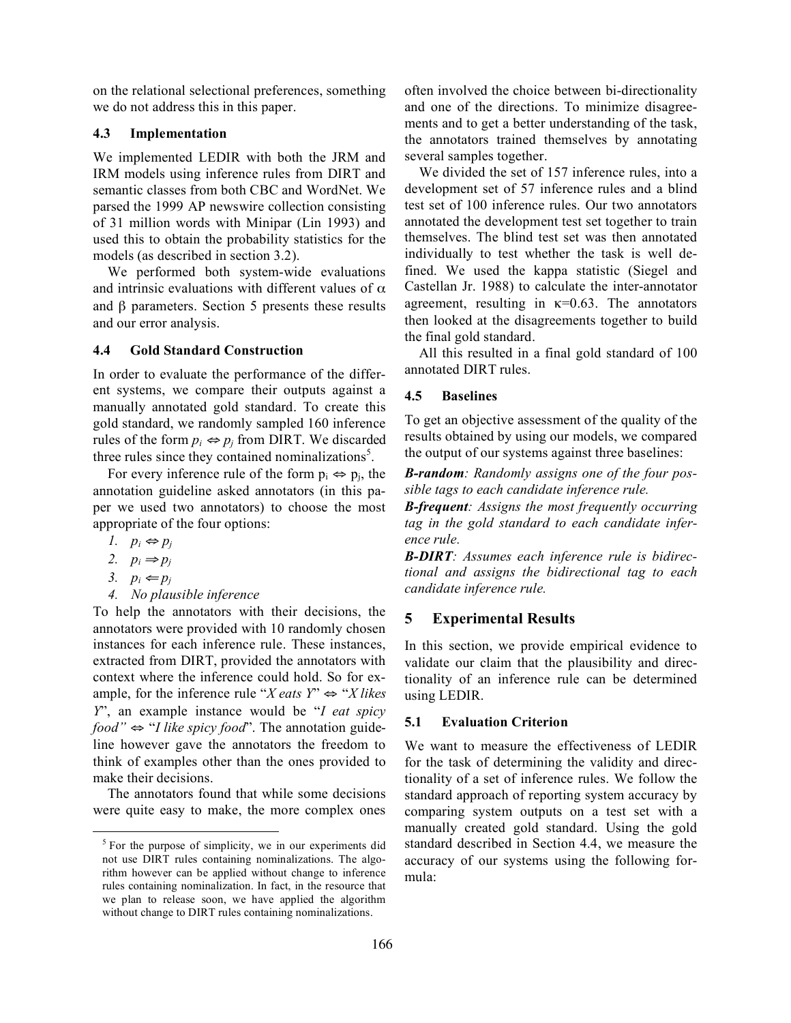on the relational selectional preferences, something we do not address this in this paper.

### **4.3 Implementation**

We implemented LEDIR with both the JRM and IRM models using inference rules from DIRT and semantic classes from both CBC and WordNet. We parsed the 1999 AP newswire collection consisting of 31 million words with Minipar (Lin 1993) and used this to obtain the probability statistics for the models (as described in section 3.2).

We performed both system-wide evaluations and intrinsic evaluations with different values of  $\alpha$ and β parameters. Section 5 presents these results and our error analysis.

### **4.4 Gold Standard Construction**

In order to evaluate the performance of the different systems, we compare their outputs against a manually annotated gold standard. To create this gold standard, we randomly sampled 160 inference rules of the form  $p_i \Leftrightarrow p_j$  from DIRT. We discarded three rules since they contained nominalizations<sup>5</sup>.

For every inference rule of the form  $p_i \Leftrightarrow p_j$ , the annotation guideline asked annotators (in this paper we used two annotators) to choose the most appropriate of the four options:

- *1.*  $p_i$  ⇔  $p_j$
- 2.  $p_i \Rightarrow p_j$
- 3.  $p_i \leftarrow p_j$
- *4. No plausible inference*

To help the annotators with their decisions, the annotators were provided with 10 randomly chosen instances for each inference rule. These instances, extracted from DIRT, provided the annotators with context where the inference could hold. So for example, for the inference rule "*X* eats  $Y$ "  $\Leftrightarrow$  "*X* likes *Y*", an example instance would be "*I eat spicy food"* ⇔ "*I like spicy food*". The annotation guideline however gave the annotators the freedom to think of examples other than the ones provided to make their decisions.

The annotators found that while some decisions were quite easy to make, the more complex ones

often involved the choice between bi-directionality and one of the directions. To minimize disagreements and to get a better understanding of the task, the annotators trained themselves by annotating several samples together.

We divided the set of 157 inference rules, into a development set of 57 inference rules and a blind test set of 100 inference rules. Our two annotators annotated the development test set together to train themselves. The blind test set was then annotated individually to test whether the task is well defined. We used the kappa statistic (Siegel and Castellan Jr. 1988) to calculate the inter-annotator agreement, resulting in  $\kappa$ =0.63. The annotators then looked at the disagreements together to build the final gold standard.

All this resulted in a final gold standard of 100 annotated DIRT rules.

## **4.5 Baselines**

To get an objective assessment of the quality of the results obtained by using our models, we compared the output of our systems against three baselines:

*B-random: Randomly assigns one of the four possible tags to each candidate inference rule.*

*B-frequent: Assigns the most frequently occurring tag in the gold standard to each candidate inference rule.*

*B-DIRT: Assumes each inference rule is bidirectional and assigns the bidirectional tag to each candidate inference rule.*

## **5 Experimental Results**

In this section, we provide empirical evidence to validate our claim that the plausibility and directionality of an inference rule can be determined using LEDIR.

## **5.1 Evaluation Criterion**

We want to measure the effectiveness of LEDIR for the task of determining the validity and directionality of a set of inference rules. We follow the standard approach of reporting system accuracy by comparing system outputs on a test set with a manually created gold standard. Using the gold standard described in Section 4.4, we measure the accuracy of our systems using the following formula:

<sup>&</sup>lt;sup>5</sup> For the purpose of simplicity, we in our experiments did not use DIRT rules containing nominalizations. The algorithm however can be applied without change to inference rules containing nominalization. In fact, in the resource that we plan to release soon, we have applied the algorithm without change to DIRT rules containing nominalizations.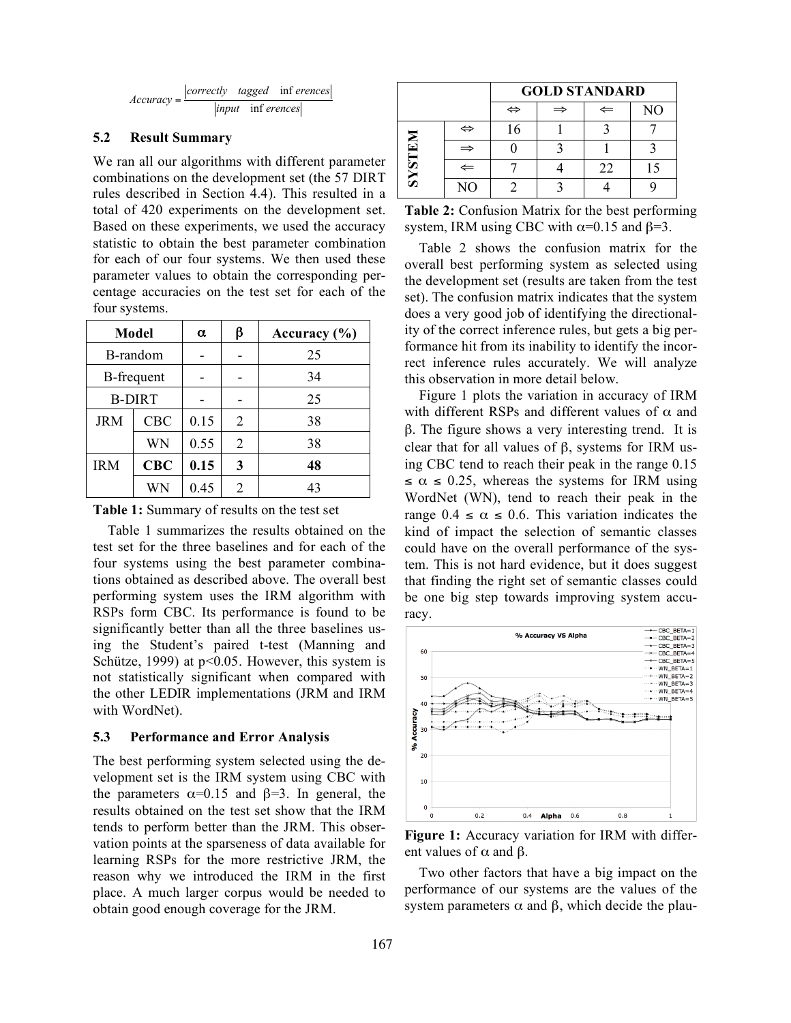$$
Accuracy = \frac{|correctly \quad tagged \quad inf \,erences|}{|input \quad inf \,erences|}
$$

### **5.2 Result Summary**

We ran all our algorithms with different parameter combinations on the development set (the 57 DIRT rules described in Section 4.4). This resulted in a total of 420 experiments on the development set. Based on these experiments, we used the accuracy statistic to obtain the best parameter combination for each of our four systems. We then used these parameter values to obtain the corresponding percentage accuracies on the test set for each of the four systems.

| Model         |            | $\alpha$ | β | Accuracy $(\% )$ |
|---------------|------------|----------|---|------------------|
| B-random      |            |          |   | 25               |
| B-frequent    |            |          |   | 34               |
| <b>B-DIRT</b> |            |          |   | 25               |
| <b>JRM</b>    | <b>CBC</b> | 0.15     | 2 | 38               |
|               | WN         | 0.55     | 2 | 38               |
| <b>IRM</b>    | CBC        | 0.15     | 3 | 48               |
|               | WN         | 0.45     | 2 | 43               |

**Table 1:** Summary of results on the test set

Table 1 summarizes the results obtained on the test set for the three baselines and for each of the four systems using the best parameter combinations obtained as described above. The overall best performing system uses the IRM algorithm with RSPs form CBC. Its performance is found to be significantly better than all the three baselines using the Student's paired t-test (Manning and Schütze, 1999) at  $p<0.05$ . However, this system is not statistically significant when compared with the other LEDIR implementations (JRM and IRM with WordNet).

#### **5.3 Performance and Error Analysis**

The best performing system selected using the development set is the IRM system using CBC with the parameters  $\alpha$ =0.15 and  $\beta$ =3. In general, the results obtained on the test set show that the IRM tends to perform better than the JRM. This observation points at the sparseness of data available for learning RSPs for the more restrictive JRM, the reason why we introduced the IRM in the first place. A much larger corpus would be needed to obtain good enough coverage for the JRM.

|         |                   | <b>GOLD STANDARD</b> |               |    |    |  |
|---------|-------------------|----------------------|---------------|----|----|--|
|         |                   | ⇔                    | $\Rightarrow$ | ⇐  | NO |  |
| NALISAS | $\Leftrightarrow$ | 16                   |               |    |    |  |
|         | $\Rightarrow$     |                      |               |    |    |  |
|         | $\Leftarrow$      |                      |               | 22 |    |  |
|         | NO                |                      |               |    |    |  |

**Table 2:** Confusion Matrix for the best performing system, IRM using CBC with  $\alpha$ =0.15 and  $\beta$ =3.

Table 2 shows the confusion matrix for the overall best performing system as selected using the development set (results are taken from the test set). The confusion matrix indicates that the system does a very good job of identifying the directionality of the correct inference rules, but gets a big performance hit from its inability to identify the incorrect inference rules accurately. We will analyze this observation in more detail below.

Figure 1 plots the variation in accuracy of IRM with different RSPs and different values of  $\alpha$  and β. The figure shows a very interesting trend. It is clear that for all values of  $β$ , systems for IRM using CBC tend to reach their peak in the range 0.15  $\leq \alpha \leq 0.25$ , whereas the systems for IRM using WordNet (WN), tend to reach their peak in the range  $0.4 \le \alpha \le 0.6$ . This variation indicates the kind of impact the selection of semantic classes could have on the overall performance of the system. This is not hard evidence, but it does suggest that finding the right set of semantic classes could be one big step towards improving system accuracy.



**Figure 1:** Accuracy variation for IRM with different values of  $\alpha$  and  $\beta$ .

Two other factors that have a big impact on the performance of our systems are the values of the system parameters  $\alpha$  and  $\beta$ , which decide the plau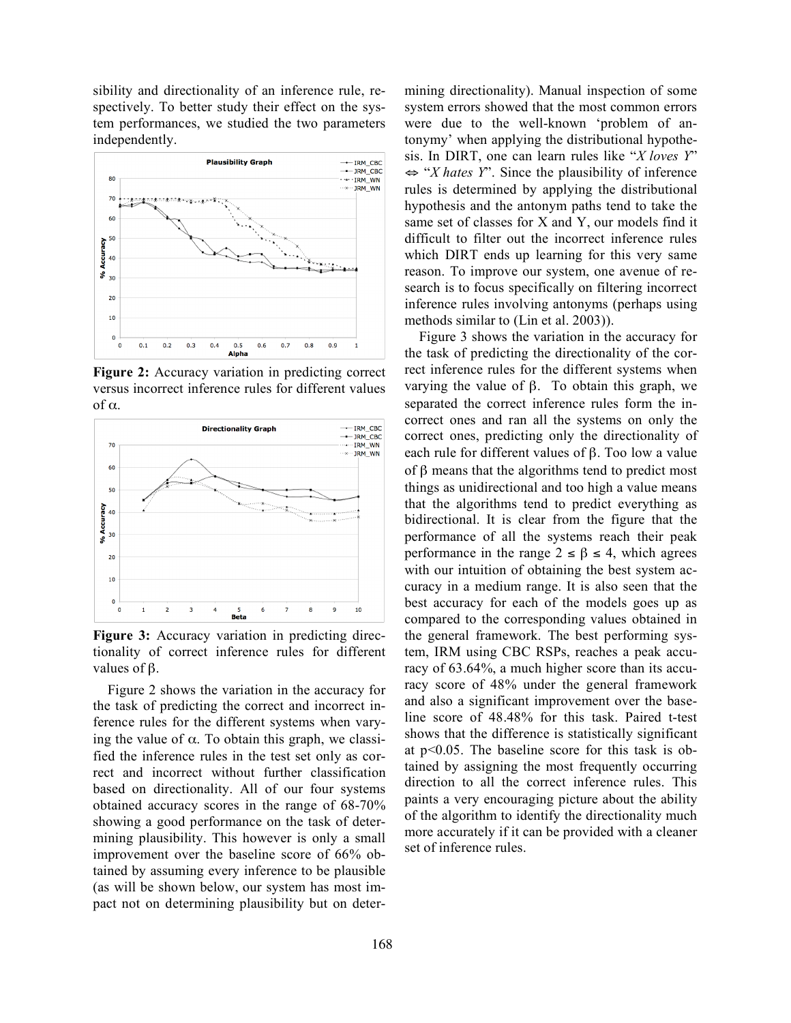sibility and directionality of an inference rule, respectively. To better study their effect on the system performances, we studied the two parameters independently.



**Figure 2:** Accuracy variation in predicting correct versus incorrect inference rules for different values of α.



**Figure 3:** Accuracy variation in predicting directionality of correct inference rules for different values of  $β$ .

Figure 2 shows the variation in the accuracy for the task of predicting the correct and incorrect inference rules for the different systems when varying the value of  $\alpha$ . To obtain this graph, we classified the inference rules in the test set only as correct and incorrect without further classification based on directionality. All of our four systems obtained accuracy scores in the range of 68-70% showing a good performance on the task of determining plausibility. This however is only a small improvement over the baseline score of 66% obtained by assuming every inference to be plausible (as will be shown below, our system has most impact not on determining plausibility but on determining directionality). Manual inspection of some system errors showed that the most common errors were due to the well-known 'problem of antonymy' when applying the distributional hypothesis. In DIRT, one can learn rules like "*X loves Y*" ⇔ "*X hates Y*". Since the plausibility of inference rules is determined by applying the distributional hypothesis and the antonym paths tend to take the same set of classes for X and Y, our models find it difficult to filter out the incorrect inference rules which DIRT ends up learning for this very same reason. To improve our system, one avenue of research is to focus specifically on filtering incorrect inference rules involving antonyms (perhaps using methods similar to (Lin et al. 2003)).

Figure 3 shows the variation in the accuracy for the task of predicting the directionality of the correct inference rules for the different systems when varying the value of β. To obtain this graph, we separated the correct inference rules form the incorrect ones and ran all the systems on only the correct ones, predicting only the directionality of each rule for different values of β. Too low a value of β means that the algorithms tend to predict most things as unidirectional and too high a value means that the algorithms tend to predict everything as bidirectional. It is clear from the figure that the performance of all the systems reach their peak performance in the range  $2 \le \beta \le 4$ , which agrees with our intuition of obtaining the best system accuracy in a medium range. It is also seen that the best accuracy for each of the models goes up as compared to the corresponding values obtained in the general framework. The best performing system, IRM using CBC RSPs, reaches a peak accuracy of 63.64%, a much higher score than its accuracy score of 48% under the general framework and also a significant improvement over the baseline score of 48.48% for this task. Paired t-test shows that the difference is statistically significant at p<0.05. The baseline score for this task is obtained by assigning the most frequently occurring direction to all the correct inference rules. This paints a very encouraging picture about the ability of the algorithm to identify the directionality much more accurately if it can be provided with a cleaner set of inference rules.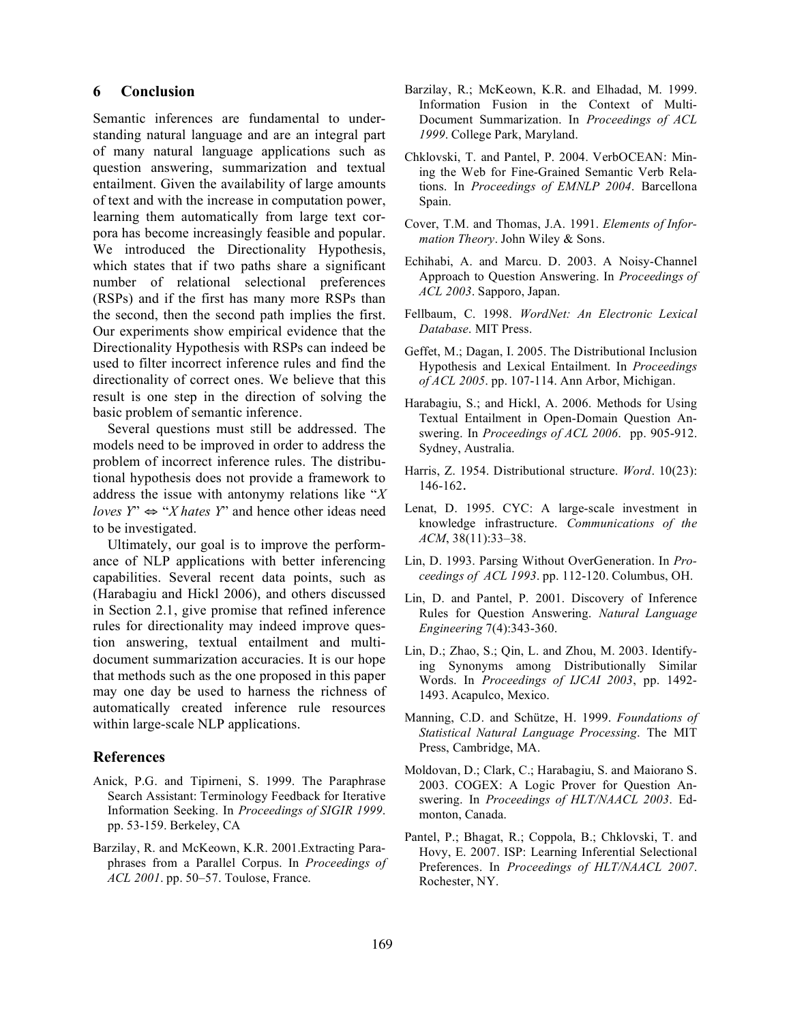### **6 Conclusion**

Semantic inferences are fundamental to understanding natural language and are an integral part of many natural language applications such as question answering, summarization and textual entailment. Given the availability of large amounts of text and with the increase in computation power, learning them automatically from large text corpora has become increasingly feasible and popular. We introduced the Directionality Hypothesis, which states that if two paths share a significant number of relational selectional preferences (RSPs) and if the first has many more RSPs than the second, then the second path implies the first. Our experiments show empirical evidence that the Directionality Hypothesis with RSPs can indeed be used to filter incorrect inference rules and find the directionality of correct ones. We believe that this result is one step in the direction of solving the basic problem of semantic inference.

Several questions must still be addressed. The models need to be improved in order to address the problem of incorrect inference rules. The distributional hypothesis does not provide a framework to address the issue with antonymy relations like "*X loves*  $Y^{\prime} \Leftrightarrow "X \text{ } hats \text{ } Y^{\prime}$  and hence other ideas need to be investigated.

Ultimately, our goal is to improve the performance of NLP applications with better inferencing capabilities. Several recent data points, such as (Harabagiu and Hickl 2006), and others discussed in Section 2.1, give promise that refined inference rules for directionality may indeed improve question answering, textual entailment and multidocument summarization accuracies. It is our hope that methods such as the one proposed in this paper may one day be used to harness the richness of automatically created inference rule resources within large-scale NLP applications.

### **References**

- Anick, P.G. and Tipirneni, S. 1999. The Paraphrase Search Assistant: Terminology Feedback for Iterative Information Seeking. In *Proceedings of SIGIR 1999*. pp. 53-159. Berkeley, CA
- Barzilay, R. and McKeown, K.R. 2001.Extracting Paraphrases from a Parallel Corpus. In *Proceedings of ACL 2001*. pp. 50–57. Toulose, France.
- Barzilay, R.; McKeown, K.R. and Elhadad, M. 1999. Information Fusion in the Context of Multi-Document Summarization. In *Proceedings of ACL 1999*. College Park, Maryland.
- Chklovski, T. and Pantel, P. 2004. VerbOCEAN: Mining the Web for Fine-Grained Semantic Verb Relations. In *Proceedings of EMNLP 2004*. Barcellona Spain.
- Cover, T.M. and Thomas, J.A. 1991. *Elements of Information Theory*. John Wiley & Sons.
- Echihabi, A. and Marcu. D. 2003. A Noisy-Channel Approach to Question Answering. In *Proceedings of ACL 2003*. Sapporo, Japan.
- Fellbaum, C. 1998. *WordNet: An Electronic Lexical Database*. MIT Press.
- Geffet, M.; Dagan, I. 2005. The Distributional Inclusion Hypothesis and Lexical Entailment. In *Proceedings of ACL 2005*. pp. 107-114. Ann Arbor, Michigan.
- Harabagiu, S.; and Hickl, A. 2006. Methods for Using Textual Entailment in Open-Domain Question Answering. In *Proceedings of ACL 2006*. pp. 905-912. Sydney, Australia.
- Harris, Z. 1954. Distributional structure. *Word*. 10(23): 146-162.
- Lenat, D. 1995. CYC: A large-scale investment in knowledge infrastructure. *Communications of the ACM*, 38(11):33–38.
- Lin, D. 1993. Parsing Without OverGeneration. In *Proceedings of ACL 1993*. pp. 112-120. Columbus, OH.
- Lin, D. and Pantel, P. 2001. Discovery of Inference Rules for Question Answering. *Natural Language Engineering* 7(4):343-360.
- Lin, D.; Zhao, S.; Qin, L. and Zhou, M. 2003. Identifying Synonyms among Distributionally Similar Words. In *Proceedings of IJCAI 2003*, pp. 1492- 1493. Acapulco, Mexico.
- Manning, C.D. and Schütze, H. 1999. *Foundations of Statistical Natural Language Processing*. The MIT Press, Cambridge, MA.
- Moldovan, D.; Clark, C.; Harabagiu, S. and Maiorano S. 2003. COGEX: A Logic Prover for Question Answering. In *Proceedings of HLT/NAACL 2003*. Edmonton, Canada.
- Pantel, P.; Bhagat, R.; Coppola, B.; Chklovski, T. and Hovy, E. 2007. ISP: Learning Inferential Selectional Preferences. In *Proceedings of HLT/NAACL 2007*. Rochester, NY.